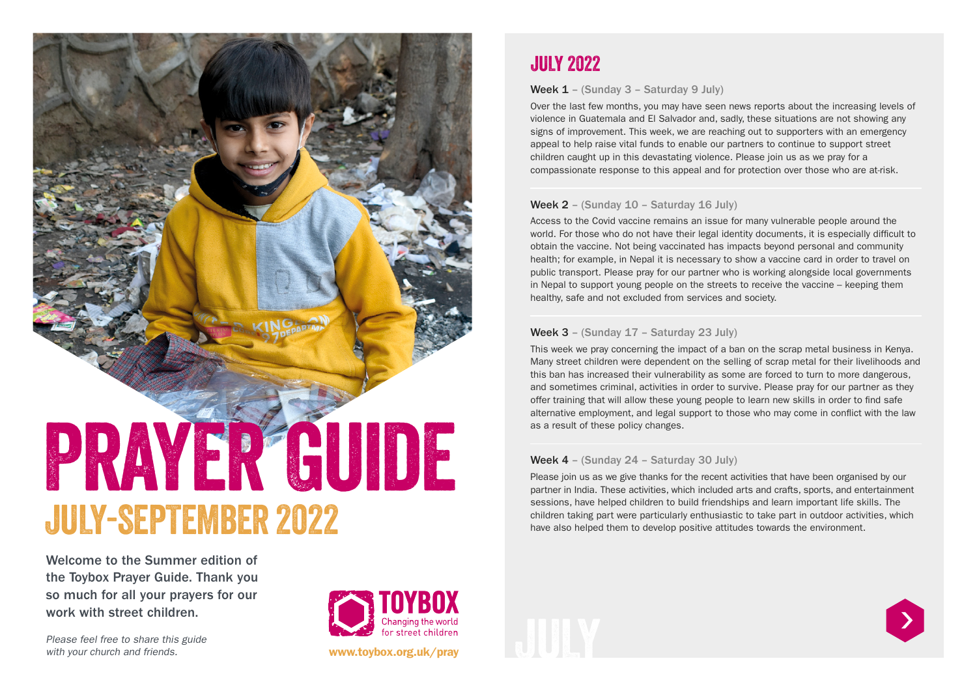# PRAYER GUIDE JULY-SEPTEMBER 2022

Welcome to the Summer edition of the Toybox Prayer Guide. Thank you so much for all your prayers for our work with street children.

Please feel free to share this guide with your church and friends.



www.toybox.org.uk/pray

## JULY 2022

Week 1 – (Sunday 3 – Saturday 9 July)

Over the last few months, you may have seen news reports about the increasing levels of violence in Guatemala and El Salvador and, sadly, these situations are not showing any signs of improvement. This week, we are reaching out to supporters with an emergency appeal to help raise vital funds to enable our partners to continue to support street children caught up in this devastating violence. Please join us as we pray for a compassionate response to this appeal and for protection over those who are at-risk.

### Week 2 - (Sunday 10 - Saturday 16 July)

Access to the Covid vaccine remains an issue for many vulnerable people around the world. For those who do not have their legal identity documents, it is especially difficult to obtain the vaccine. Not being vaccinated has impacts beyond personal and community health; for example, in Nepal it is necessary to show a vaccine card in order to travel on public transport. Please pray for our partner who is working alongside local governments in Nepal to support young people on the streets to receive the vaccine – keeping them healthy, safe and not excluded from services and society.

### Week 3 – (Sunday 17 – Saturday 23 July)

This week we pray concerning the impact of a ban on the scrap metal business in Kenya. Many street children were dependent on the selling of scrap metal for their livelihoods and this ban has increased their vulnerability as some are forced to turn to more dangerous, and sometimes criminal, activities in order to survive. Please pray for our partner as they offer training that will allow these young people to learn new skills in order to find safe alternative employment, and legal support to those who may come in conflict with the law as a result of these policy changes.

#### Week 4 - (Sunday 24 - Saturday 30 July)

Please join us as we give thanks for the recent activities that have been organised by our partner in India. These activities, which included arts and crafts, sports, and entertainment sessions, have helped children to build friendships and learn important life skills. The children taking part were particularly enthusiastic to take part in outdoor activities, which have also helped them to develop positive attitudes towards the environment.